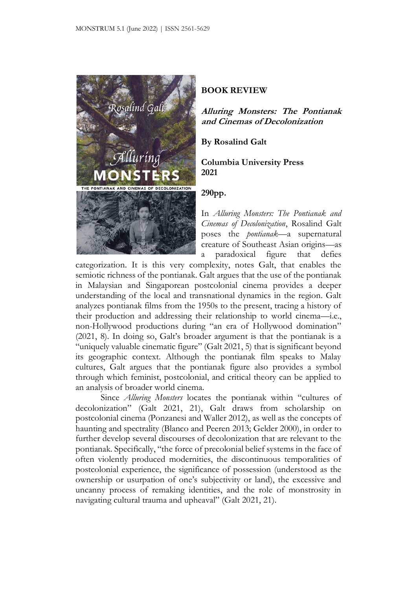

## **BOOK REVIEW**

**Alluring Monsters: The Pontianak and Cinemas of Decolonization**

**By Rosalind Galt**

**Columbia University Press 2021**

## **290pp.**

In *Alluring Monsters: The Pontianak and Cinemas of Decolonization*, Rosalind Galt poses the *pontianak*—a supernatural creature of Southeast Asian origins—as a paradoxical figure that defies

categorization. It is this very complexity, notes Galt, that enables the semiotic richness of the pontianak. Galt argues that the use of the pontianak in Malaysian and Singaporean postcolonial cinema provides a deeper understanding of the local and transnational dynamics in the region. Galt analyzes pontianak films from the 1950s to the present, tracing a history of their production and addressing their relationship to world cinema—i.e., non-Hollywood productions during "an era of Hollywood domination" (2021, 8). In doing so, Galt's broader argument is that the pontianak is a "uniquely valuable cinematic figure" (Galt 2021, 5) that is significant beyond its geographic context. Although the pontianak film speaks to Malay cultures, Galt argues that the pontianak figure also provides a symbol through which feminist, postcolonial, and critical theory can be applied to an analysis of broader world cinema.

Since *Alluring Monsters* locates the pontianak within "cultures of decolonization" (Galt 2021, 21), Galt draws from scholarship on postcolonial cinema (Ponzanesi and Waller 2012), as well as the concepts of haunting and spectrality (Blanco and Peeren 2013; Gelder 2000), in order to further develop several discourses of decolonization that are relevant to the pontianak. Specifically, "the force of precolonial belief systems in the face of often violently produced modernities, the discontinuous temporalities of postcolonial experience, the significance of possession (understood as the ownership or usurpation of one's subjectivity or land), the excessive and uncanny process of remaking identities, and the role of monstrosity in navigating cultural trauma and upheaval" (Galt 2021, 21).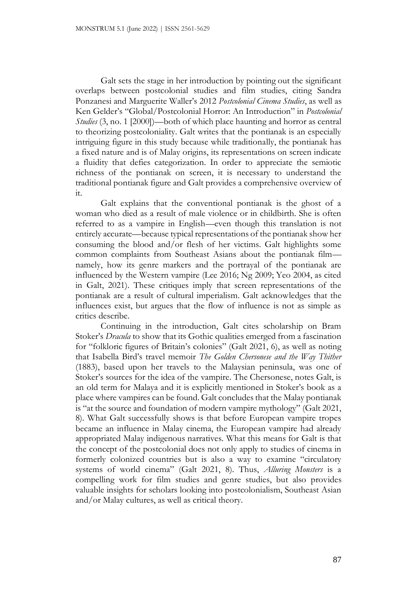Galt sets the stage in her introduction by pointing out the significant overlaps between postcolonial studies and film studies, citing Sandra Ponzanesi and Marguerite Waller's 2012 *Postcolonial Cinema Studies*, as well as Ken Gelder's "Global/Postcolonial Horror: An Introduction" in *Postcolonial Studies* (3, no. 1 [2000])—both of which place haunting and horror as central to theorizing postcoloniality. Galt writes that the pontianak is an especially intriguing figure in this study because while traditionally, the pontianak has a fixed nature and is of Malay origins, its representations on screen indicate a fluidity that defies categorization. In order to appreciate the semiotic richness of the pontianak on screen, it is necessary to understand the traditional pontianak figure and Galt provides a comprehensive overview of it.

Galt explains that the conventional pontianak is the ghost of a woman who died as a result of male violence or in childbirth. She is often referred to as a vampire in English—even though this translation is not entirely accurate—because typical representations of the pontianak show her consuming the blood and/or flesh of her victims. Galt highlights some common complaints from Southeast Asians about the pontianak film namely, how its genre markers and the portrayal of the pontianak are influenced by the Western vampire (Lee 2016; Ng 2009; Yeo 2004, as cited in Galt, 2021). These critiques imply that screen representations of the pontianak are a result of cultural imperialism. Galt acknowledges that the influences exist, but argues that the flow of influence is not as simple as critics describe.

Continuing in the introduction, Galt cites scholarship on Bram Stoker's *Dracula* to show that its Gothic qualities emerged from a fascination for "folkloric figures of Britain's colonies" (Galt 2021, 6), as well as noting that Isabella Bird's travel memoir *The Golden Chersonese and the Way Thither* (1883), based upon her travels to the Malaysian peninsula, was one of Stoker's sources for the idea of the vampire. The Chersonese, notes Galt, is an old term for Malaya and it is explicitly mentioned in Stoker's book as a place where vampires can be found. Galt concludes that the Malay pontianak is "at the source and foundation of modern vampire mythology" (Galt 2021, 8). What Galt successfully shows is that before European vampire tropes became an influence in Malay cinema, the European vampire had already appropriated Malay indigenous narratives. What this means for Galt is that the concept of the postcolonial does not only apply to studies of cinema in formerly colonized countries but is also a way to examine "circulatory systems of world cinema" (Galt 2021, 8). Thus, *Alluring Monsters* is a compelling work for film studies and genre studies, but also provides valuable insights for scholars looking into postcolonialism, Southeast Asian and/or Malay cultures, as well as critical theory.

87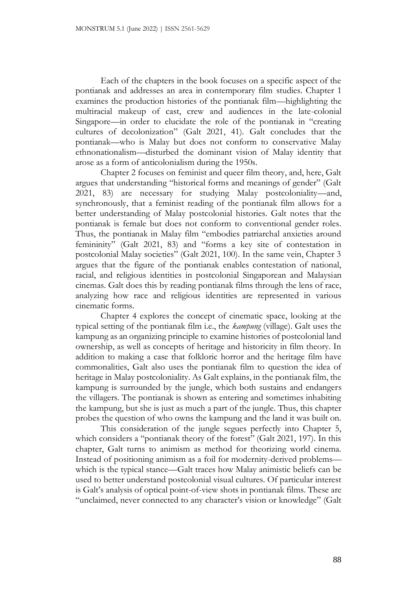Each of the chapters in the book focuses on a specific aspect of the pontianak and addresses an area in contemporary film studies. Chapter 1 examines the production histories of the pontianak film—highlighting the multiracial makeup of cast, crew and audiences in the late-colonial Singapore—in order to elucidate the role of the pontianak in "creating cultures of decolonization" (Galt 2021, 41). Galt concludes that the pontianak—who is Malay but does not conform to conservative Malay ethnonationalism—disturbed the dominant vision of Malay identity that arose as a form of anticolonialism during the 1950s.

Chapter 2 focuses on feminist and queer film theory, and, here, Galt argues that understanding "historical forms and meanings of gender" (Galt 2021, 83) are necessary for studying Malay postcoloniality—and, synchronously, that a feminist reading of the pontianak film allows for a better understanding of Malay postcolonial histories. Galt notes that the pontianak is female but does not conform to conventional gender roles. Thus, the pontianak in Malay film "embodies patriarchal anxieties around femininity" (Galt 2021, 83) and "forms a key site of contestation in postcolonial Malay societies" (Galt 2021, 100). In the same vein, Chapter 3 argues that the figure of the pontianak enables contestation of national, racial, and religious identities in postcolonial Singaporean and Malaysian cinemas. Galt does this by reading pontianak films through the lens of race, analyzing how race and religious identities are represented in various cinematic forms.

Chapter 4 explores the concept of cinematic space, looking at the typical setting of the pontianak film i.e., the *kampung* (village). Galt uses the kampung as an organizing principle to examine histories of postcolonial land ownership, as well as concepts of heritage and historicity in film theory. In addition to making a case that folkloric horror and the heritage film have commonalities, Galt also uses the pontianak film to question the idea of heritage in Malay postcoloniality. As Galt explains, in the pontianak film, the kampung is surrounded by the jungle, which both sustains and endangers the villagers. The pontianak is shown as entering and sometimes inhabiting the kampung, but she is just as much a part of the jungle. Thus, this chapter probes the question of who owns the kampung and the land it was built on.

This consideration of the jungle segues perfectly into Chapter 5, which considers a "pontianak theory of the forest" (Galt 2021, 197). In this chapter, Galt turns to animism as method for theorizing world cinema. Instead of positioning animism as a foil for modernity-derived problems which is the typical stance—Galt traces how Malay animistic beliefs can be used to better understand postcolonial visual cultures. Of particular interest is Galt's analysis of optical point-of-view shots in pontianak films. These are "unclaimed, never connected to any character's vision or knowledge" (Galt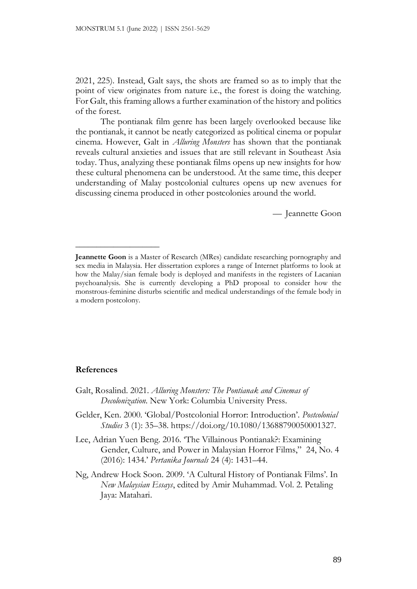2021, 225). Instead, Galt says, the shots are framed so as to imply that the point of view originates from nature i.e., the forest is doing the watching. For Galt, this framing allows a further examination of the history and politics of the forest.

The pontianak film genre has been largely overlooked because like the pontianak, it cannot be neatly categorized as political cinema or popular cinema. However, Galt in *Alluring Monsters* has shown that the pontianak reveals cultural anxieties and issues that are still relevant in Southeast Asia today. Thus, analyzing these pontianak films opens up new insights for how these cultural phenomena can be understood. At the same time, this deeper understanding of Malay postcolonial cultures opens up new avenues for discussing cinema produced in other postcolonies around the world.

— Jeannette Goon

## **References**

\_\_\_\_\_\_\_\_\_\_\_\_\_\_\_\_\_\_\_\_

- Galt, Rosalind. 2021. *Alluring Monsters: The Pontianak and Cinemas of Decolonization*. New York: Columbia University Press.
- Gelder, Ken. 2000. 'Global/Postcolonial Horror: Introduction'. *Postcolonial Studies* 3 (1): 35–38. https://doi.org/10.1080/13688790050001327.
- Lee, Adrian Yuen Beng. 2016. 'The Villainous Pontianak?: Examining Gender, Culture, and Power in Malaysian Horror Films," 24, No. 4 (2016): 1434.' *Pertanika Journals* 24 (4): 1431–44.
- Ng, Andrew Hock Soon. 2009. 'A Cultural History of Pontianak Films'. In *New Malaysian Essays*, edited by Amir Muhammad. Vol. 2. Petaling Jaya: Matahari.

**Jeannette Goon** is a Master of Research (MRes) candidate researching pornography and sex media in Malaysia. Her dissertation explores a range of Internet platforms to look at how the Malay/sian female body is deployed and manifests in the registers of Lacanian psychoanalysis. She is currently developing a PhD proposal to consider how the monstrous-feminine disturbs scientific and medical understandings of the female body in a modern postcolony.